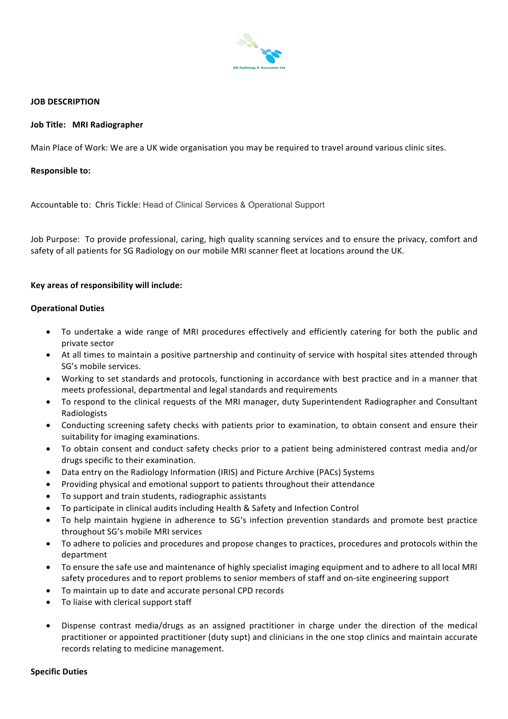

### **JOB DESCRIPTION**

### **Job Title: MRI Radiographer**

Main Place of Work: We are a UK wide organisation you may be required to travel around various clinic sites.

#### **Responsible to:**

Accountable to: Chris Tickle: Head of Clinical Services & Operational Support

Job Purpose: To provide professional, caring, high quality scanning services and to ensure the privacy, comfort and safety of all patients for SG Radiology on our mobile MRI scanner fleet at locations around the UK.

## Key areas of responsibility will include:

#### **Operational Duties**

- To undertake a wide range of MRI procedures effectively and efficiently catering for both the public and private sector
- At all times to maintain a positive partnership and continuity of service with hospital sites attended through SG's mobile services.
- Working to set standards and protocols, functioning in accordance with best practice and in a manner that meets professional, departmental and legal standards and requirements
- To respond to the clinical requests of the MRI manager, duty Superintendent Radiographer and Consultant Radiologists
- Conducting screening safety checks with patients prior to examination, to obtain consent and ensure their suitability for imaging examinations.
- To obtain consent and conduct safety checks prior to a patient being administered contrast media and/or drugs specific to their examination.
- Data entry on the Radiology Information (IRIS) and Picture Archive (PACs) Systems
- Providing physical and emotional support to patients throughout their attendance
- To support and train students, radiographic assistants
- To participate in clinical audits including Health & Safety and Infection Control
- To help maintain hygiene in adherence to SG's infection prevention standards and promote best practice throughout SG's mobile MRI services
- To adhere to policies and procedures and propose changes to practices, procedures and protocols within the department
- To ensure the safe use and maintenance of highly specialist imaging equipment and to adhere to all local MRI safety procedures and to report problems to senior members of staff and on-site engineering support
- To maintain up to date and accurate personal CPD records
- To liaise with clerical support staff
- Dispense contrast media/drugs as an assigned practitioner in charge under the direction of the medical practitioner or appointed practitioner (duty supt) and clinicians in the one stop clinics and maintain accurate records relating to medicine management.

#### **Specific Duties**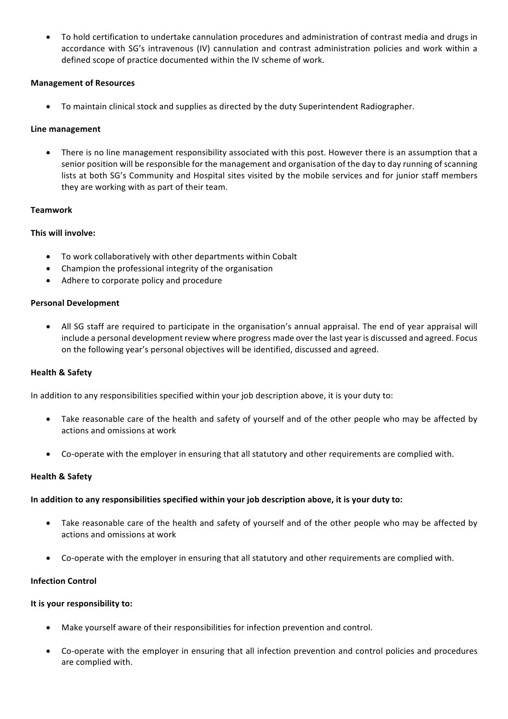To hold certification to undertake cannulation procedures and administration of contrast media and drugs in accordance with SG's intravenous (IV) cannulation and contrast administration policies and work within a defined scope of practice documented within the IV scheme of work.

# **Management of Resources**

• To maintain clinical stock and supplies as directed by the duty Superintendent Radiographer.

# **Line management**

There is no line management responsibility associated with this post. However there is an assumption that a senior position will be responsible for the management and organisation of the day to day running of scanning lists at both SG's Community and Hospital sites visited by the mobile services and for junior staff members they are working with as part of their team.

# **Teamwork**

# **This will involve:**

- To work collaboratively with other departments within Cobalt
- $\bullet$  Champion the professional integrity of the organisation
- Adhere to corporate policy and procedure

# **Personal Development**

• All SG staff are required to participate in the organisation's annual appraisal. The end of year appraisal will include a personal development review where progress made over the last year is discussed and agreed. Focus on the following year's personal objectives will be identified, discussed and agreed.

## **Health & Safety**

In addition to any responsibilities specified within your job description above, it is your duty to:

- Take reasonable care of the health and safety of yourself and of the other people who may be affected by actions and omissions at work
- Co-operate with the employer in ensuring that all statutory and other requirements are complied with.

## **Health & Safety**

## In addition to any responsibilities specified within your job description above, it is your duty to:

- Take reasonable care of the health and safety of yourself and of the other people who may be affected by actions and omissions at work
- Co-operate with the employer in ensuring that all statutory and other requirements are complied with.

## **Infection Control**

## **It is your responsibility to:**

- Make yourself aware of their responsibilities for infection prevention and control.
- Co-operate with the employer in ensuring that all infection prevention and control policies and procedures are complied with.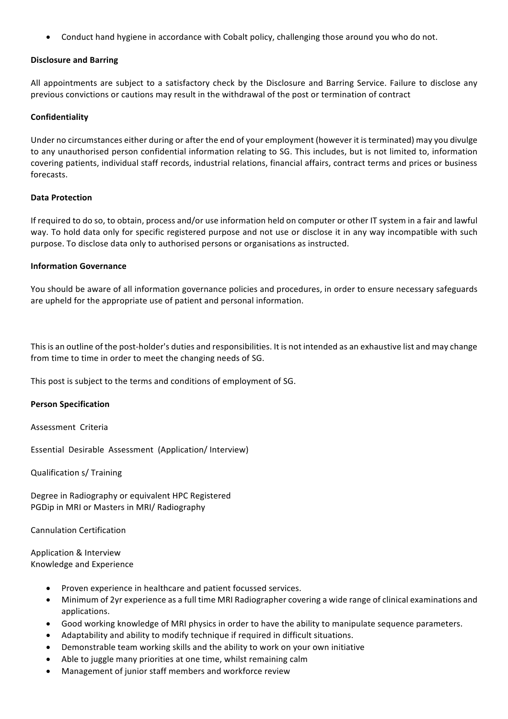• Conduct hand hygiene in accordance with Cobalt policy, challenging those around you who do not.

### **Disclosure and Barring**

All appointments are subject to a satisfactory check by the Disclosure and Barring Service. Failure to disclose any previous convictions or cautions may result in the withdrawal of the post or termination of contract

### **Confidentiality**

Under no circumstances either during or after the end of your employment (however it is terminated) may you divulge to any unauthorised person confidential information relating to SG. This includes, but is not limited to, information covering patients, individual staff records, industrial relations, financial affairs, contract terms and prices or business forecasts. 

#### **Data Protection**

If required to do so, to obtain, process and/or use information held on computer or other IT system in a fair and lawful way. To hold data only for specific registered purpose and not use or disclose it in any way incompatible with such purpose. To disclose data only to authorised persons or organisations as instructed.

### **Information Governance**

You should be aware of all information governance policies and procedures, in order to ensure necessary safeguards are upheld for the appropriate use of patient and personal information.

This is an outline of the post-holder's duties and responsibilities. It is not intended as an exhaustive list and may change from time to time in order to meet the changing needs of SG.

This post is subject to the terms and conditions of employment of SG.

#### **Person Specification**

Assessment Criteria

Essential Desirable Assessment (Application/ Interview)

Qualification s/ Training 

Degree in Radiography or equivalent HPC Registered PGDip in MRI or Masters in MRI/ Radiography

Cannulation Certification 

Application & Interview Knowledge and Experience

- Proven experience in healthcare and patient focussed services.
- Minimum of 2yr experience as a full time MRI Radiographer covering a wide range of clinical examinations and applications.
- Good working knowledge of MRI physics in order to have the ability to manipulate sequence parameters.
- Adaptability and ability to modify technique if required in difficult situations.
- Demonstrable team working skills and the ability to work on your own initiative
- Able to juggle many priorities at one time, whilst remaining calm
- Management of junior staff members and workforce review